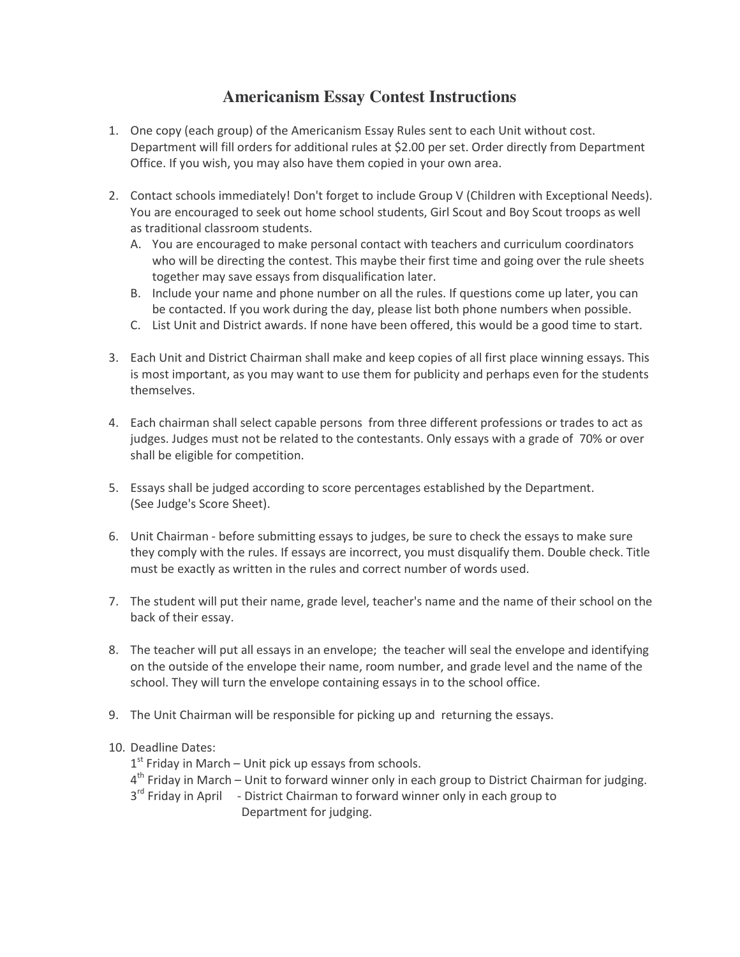## **Americanism Essay Contest Instructions**

- 1. One copy (each group) of the Americanism Essay Rules sent to each Unit without cost. Department will fill orders for additional rules at \$2.00 per set. Order directly from Department Office. If you wish, you may also have them copied in your own area.
- 2. Contact schools immediately! Don't forget to include Group V (Children with Exceptional Needs). You are encouraged to seek out home school students, Girl Scout and Boy Scout troops as well as traditional classroom students.
	- A. You are encouraged to make personal contact with teachers and curriculum coordinators who will be directing the contest. This maybe their first time and going over the rule sheets together may save essays from disqualification later.
	- B. Include your name and phone number on all the rules. If questions come up later, you can be contacted. If you work during the day, please list both phone numbers when possible.
	- C. List Unit and District awards. If none have been offered, this would be a good time to start.
- 3. Each Unit and District Chairman shall make and keep copies of all first place winning essays. This is most important, as you may want to use them for publicity and perhaps even for the students themselves.
- 4. Each chairman shall select capable persons from three different professions or trades to act as judges. Judges must not be related to the contestants. Only essays with a grade of 70% or over shall be eligible for competition.
- 5. Essays shall be judged according to score percentages established by the Department. (See Judge's Score Sheet).
- 6. Unit Chairman before submitting essays to judges, be sure to check the essays to make sure they comply with the rules. If essays are incorrect, you must disqualify them. Double check. Title must be exactly as written in the rules and correct number of words used.
- 7. The student will put their name, grade level, teacher's name and the name of their school on the back of their essay.
- 8. The teacher will put all essays in an envelope; the teacher will seal the envelope and identifying on the outside of the envelope their name, room number, and grade level and the name of the school. They will turn the envelope containing essays in to the school office.
- 9. The Unit Chairman will be responsible for picking up and returning the essays.

## 10. Deadline Dates:

- $1<sup>st</sup>$  Friday in March Unit pick up essays from schools.
- $4<sup>th</sup>$  Friday in March Unit to forward winner only in each group to District Chairman for judging.
- 3<sup>rd</sup> Friday in April District Chairman to forward winner only in each group to Department for judging.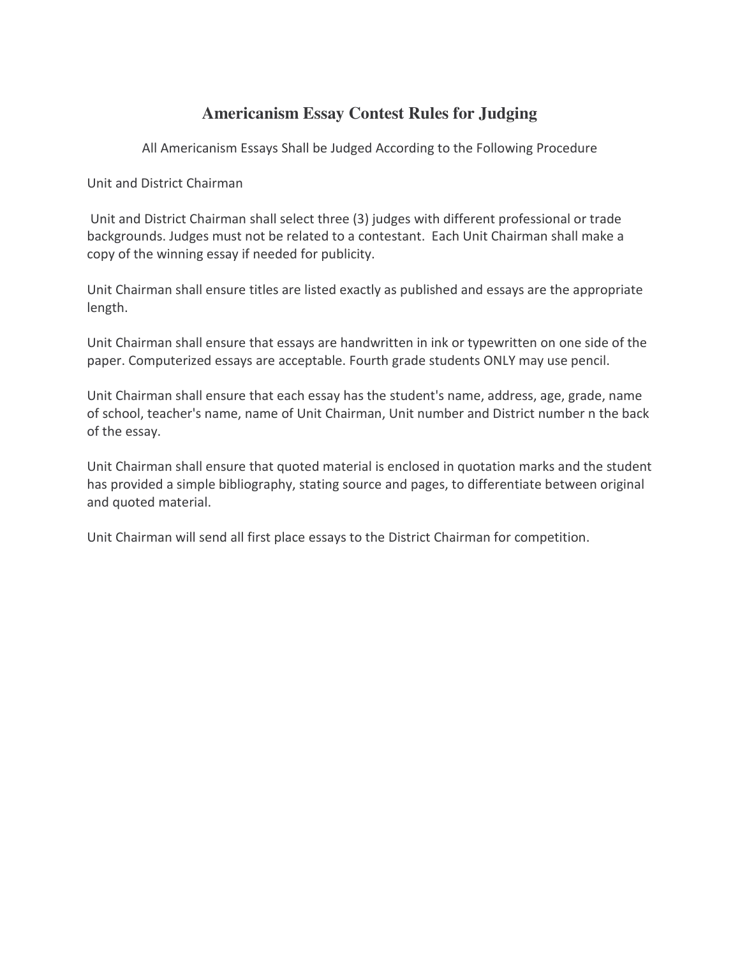## **Americanism Essay Contest Rules for Judging**

All Americanism Essays Shall be Judged According to the Following Procedure

Unit and District Chairman

Unit and District Chairman shall select three (3) judges with different professional or trade backgrounds. Judges must not be related to a contestant. Each Unit Chairman shall make a copy of the winning essay if needed for publicity.

Unit Chairman shall ensure titles are listed exactly as published and essays are the appropriate length.

Unit Chairman shall ensure that essays are handwritten in ink or typewritten on one side of the paper. Computerized essays are acceptable. Fourth grade students ONLY may use pencil.

Unit Chairman shall ensure that each essay has the student's name, address, age, grade, name of school, teacher's name, name of Unit Chairman, Unit number and District number n the back of the essay.

Unit Chairman shall ensure that quoted material is enclosed in quotation marks and the student has provided a simple bibliography, stating source and pages, to differentiate between original and quoted material.

Unit Chairman will send all first place essays to the District Chairman for competition.